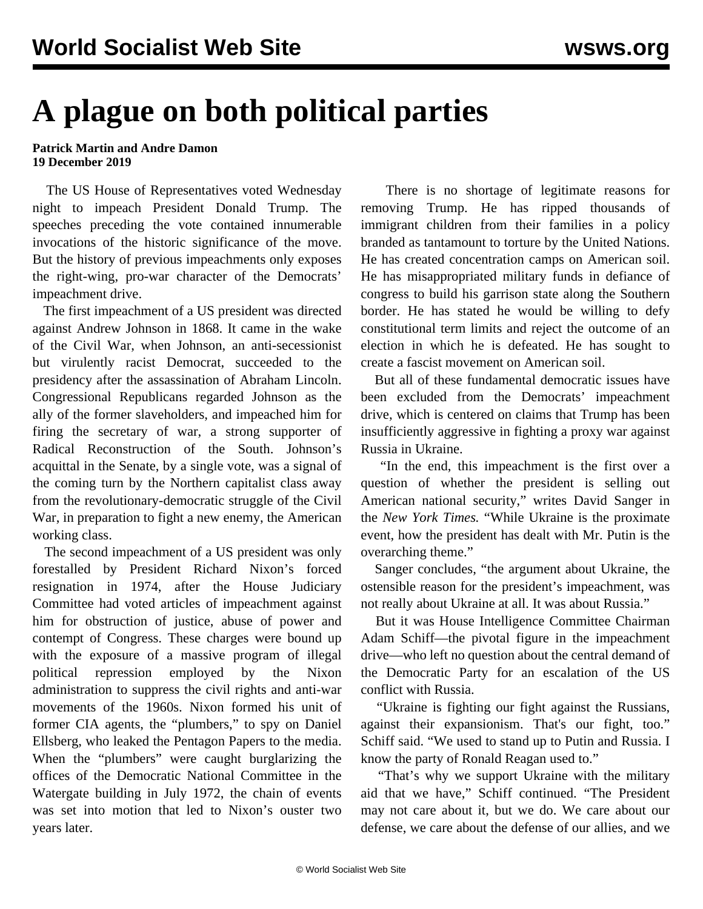## **A plague on both political parties**

## **Patrick Martin and Andre Damon 19 December 2019**

 The US House of Representatives voted Wednesday night to impeach President Donald Trump. The speeches preceding the vote contained innumerable invocations of the historic significance of the move. But the history of previous impeachments only exposes the right-wing, pro-war character of the Democrats' impeachment drive.

 The first impeachment of a US president was directed against Andrew Johnson in 1868. It came in the wake of the Civil War, when Johnson, an anti-secessionist but virulently racist Democrat, succeeded to the presidency after the assassination of Abraham Lincoln. Congressional Republicans regarded Johnson as the ally of the former slaveholders, and impeached him for firing the secretary of war, a strong supporter of Radical Reconstruction of the South. Johnson's acquittal in the Senate, by a single vote, was a signal of the coming turn by the Northern capitalist class away from the revolutionary-democratic struggle of the Civil War, in preparation to fight a new enemy, the American working class.

 The second impeachment of a US president was only forestalled by President Richard Nixon's forced resignation in 1974, after the House Judiciary Committee had voted articles of impeachment against him for obstruction of justice, abuse of power and contempt of Congress. These charges were bound up with the exposure of a massive program of illegal political repression employed by the Nixon administration to suppress the civil rights and anti-war movements of the 1960s. Nixon formed his unit of former CIA agents, the "plumbers," to spy on Daniel Ellsberg, who leaked the Pentagon Papers to the media. When the "plumbers" were caught burglarizing the offices of the Democratic National Committee in the Watergate building in July 1972, the chain of events was set into motion that led to Nixon's ouster two years later.

 There is no shortage of legitimate reasons for removing Trump. He has ripped thousands of immigrant children from their families in a policy branded as tantamount to torture by the United Nations. He has created concentration camps on American soil. He has misappropriated military funds in defiance of congress to build his garrison state along the Southern border. He has stated he would be willing to defy constitutional term limits and reject the outcome of an election in which he is defeated. He has sought to create a fascist movement on American soil.

 But all of these fundamental democratic issues have been excluded from the Democrats' impeachment drive, which is centered on claims that Trump has been insufficiently aggressive in fighting a proxy war against Russia in Ukraine.

 "In the end, this impeachment is the first over a question of whether the president is selling out American national security," writes David Sanger in the *New York Times.* "While Ukraine is the proximate event, how the president has dealt with Mr. Putin is the overarching theme."

 Sanger concludes, "the argument about Ukraine, the ostensible reason for the president's impeachment, was not really about Ukraine at all. It was about Russia."

 But it was House Intelligence Committee Chairman Adam Schiff—the pivotal figure in the impeachment drive—who left no question about the central demand of the Democratic Party for an escalation of the US conflict with Russia.

 "Ukraine is fighting our fight against the Russians, against their expansionism. That's our fight, too." Schiff said. "We used to stand up to Putin and Russia. I know the party of Ronald Reagan used to."

 "That's why we support Ukraine with the military aid that we have," Schiff continued. "The President may not care about it, but we do. We care about our defense, we care about the defense of our allies, and we